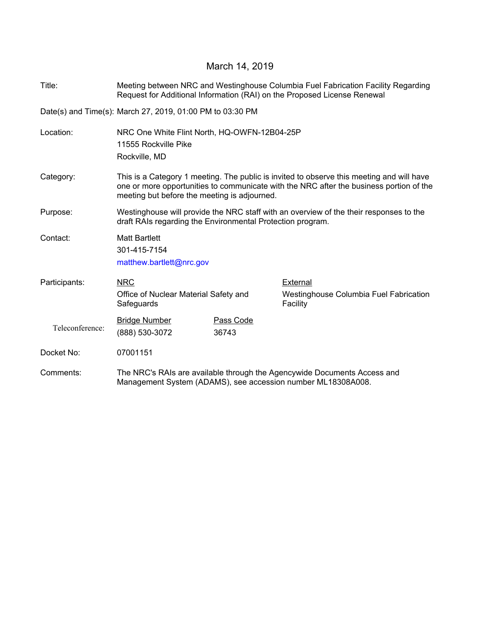## March 14, 2019

Title: Meeting between NRC and Westinghouse Columbia Fuel Fabrication Facility Regarding Request for Additional Information (RAI) on the Proposed License Renewal

Date(s) and Time(s): March 27, 2019, 01:00 PM to 03:30 PM

Location: NRC One White Flint North, HQ-OWFN-12B04-25P 11555 Rockville Pike Rockville, MD Category: This is a Category 1 meeting. The public is invited to observe this meeting and will have one or more opportunities to communicate with the NRC after the business portion of the meeting but before the meeting is adjourned. Purpose: Westinghouse will provide the NRC staff with an overview of the their responses to the draft RAIs regarding the Environmental Protection program. Contact: Matt Bartlett 301-415-7154 matthew.bartlett@nrc.gov NRC Office of Nuclear Material Safety and **Safeguards** Participants: NRC NRC External Westinghouse Columbia Fuel Fabrication Facility Teleconference: Bridge Number Pass Code (888) 530-3072 36743 Docket No: 07001151 Comments: The NRC's RAIs are available through the Agencywide Documents Access and Management System (ADAMS), see accession number ML18308A008.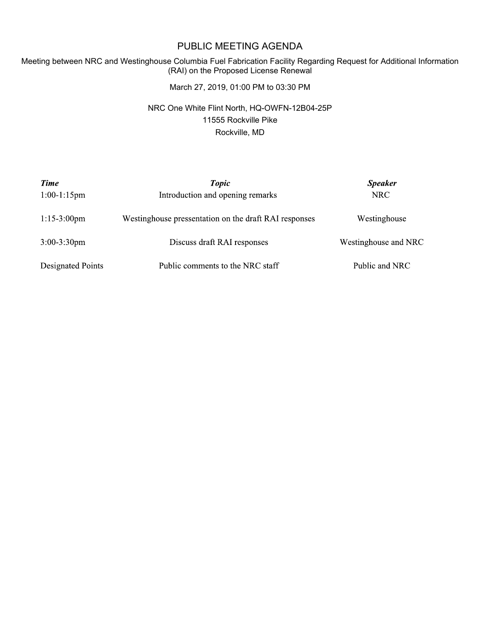## PUBLIC MEETING AGENDA

## Meeting between NRC and Westinghouse Columbia Fuel Fabrication Facility Regarding Request for Additional Information (RAI) on the Proposed License Renewal

March 27, 2019, 01:00 PM to 03:30 PM

NRC One White Flint North, HQ-OWFN-12B04-25P 11555 Rockville Pike Rockville, MD

| Time<br>$1:00-1:15$ pm | <b>Topic</b><br>Introduction and opening remarks      | <b>Speaker</b><br>NRC |
|------------------------|-------------------------------------------------------|-----------------------|
| $1:15-3:00$ pm         | Westinghouse pressentation on the draft RAI responses | Westinghouse          |
| $3:00-3:30$ pm         | Discuss draft RAI responses                           | Westinghouse and NRC  |
| Designated Points      | Public comments to the NRC staff                      | Public and NRC        |